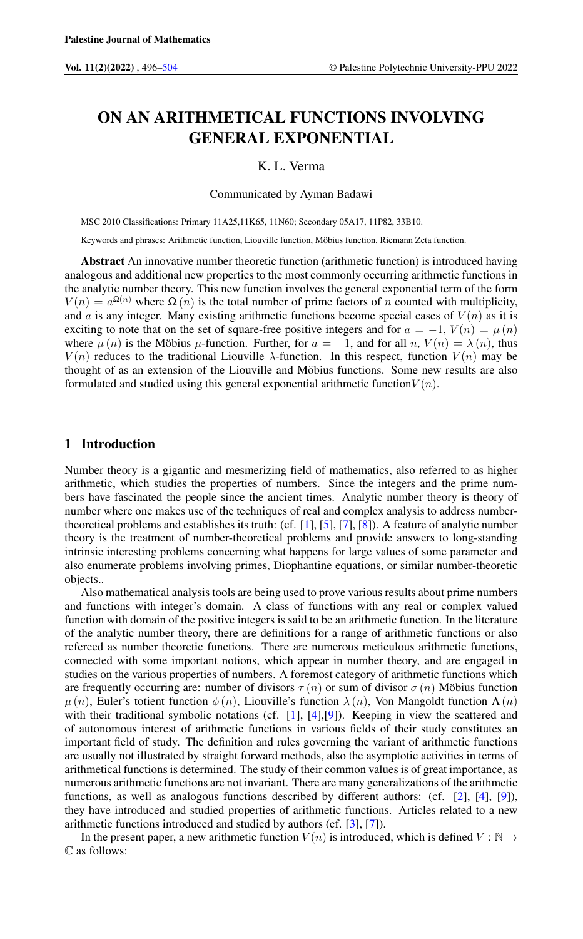# ON AN ARITHMETICAL FUNCTIONS INVOLVING GENERAL EXPONENTIAL

## K. L. Verma

Communicated by Ayman Badawi

MSC 2010 Classifications: Primary 11A25,11K65, 11N60; Secondary 05A17, 11P82, 33B10.

Keywords and phrases: Arithmetic function, Liouville function, Möbius function, Riemann Zeta function.

Abstract An innovative number theoretic function (arithmetic function) is introduced having analogous and additional new properties to the most commonly occurring arithmetic functions in the analytic number theory. This new function involves the general exponential term of the form  $V(n) = a^{\Omega(n)}$  where  $\Omega(n)$  is the total number of prime factors of n counted with multiplicity, and a is any integer. Many existing arithmetic functions become special cases of  $V(n)$  as it is exciting to note that on the set of square-free positive integers and for  $a = -1$ ,  $V(n) = \mu(n)$ where  $\mu(n)$  is the Möbius  $\mu$ -function. Further, for  $a = -1$ , and for all n,  $V(n) = \lambda(n)$ , thus  $V(n)$  reduces to the traditional Liouville  $\lambda$ -function. In this respect, function  $V(n)$  may be thought of as an extension of the Liouville and Möbius functions. Some new results are also formulated and studied using this general exponential arithmetic function  $V(n)$ .

## 1 Introduction

Number theory is a gigantic and mesmerizing field of mathematics, also referred to as higher arithmetic, which studies the properties of numbers. Since the integers and the prime numbers have fascinated the people since the ancient times. Analytic number theory is theory of number where one makes use of the techniques of real and complex analysis to address numbertheoretical problems and establishes its truth: (cf. [\[1\]](#page-8-1), [\[5\]](#page-8-2), [\[7\]](#page-8-3), [\[8\]](#page-8-4)). A feature of analytic number theory is the treatment of number-theoretical problems and provide answers to long-standing intrinsic interesting problems concerning what happens for large values of some parameter and also enumerate problems involving primes, Diophantine equations, or similar number-theoretic objects..

Also mathematical analysis tools are being used to prove various results about prime numbers and functions with integer's domain. A class of functions with any real or complex valued function with domain of the positive integers is said to be an arithmetic function. In the literature of the analytic number theory, there are definitions for a range of arithmetic functions or also refereed as number theoretic functions. There are numerous meticulous arithmetic functions, connected with some important notions, which appear in number theory, and are engaged in studies on the various properties of numbers. A foremost category of arithmetic functions which are frequently occurring are: number of divisors  $\tau(n)$  or sum of divisor  $\sigma(n)$  Möbius function  $\mu(n)$ , Euler's totient function  $\phi(n)$ , Liouville's function  $\lambda(n)$ , Von Mangoldt function  $\Lambda(n)$ with their traditional symbolic notations (cf. [\[1\]](#page-8-1), [\[4\]](#page-8-5), [\[9\]](#page-8-6)). Keeping in view the scattered and of autonomous interest of arithmetic functions in various fields of their study constitutes an important field of study. The definition and rules governing the variant of arithmetic functions are usually not illustrated by straight forward methods, also the asymptotic activities in terms of arithmetical functions is determined. The study of their common values is of great importance, as numerous arithmetic functions are not invariant. There are many generalizations of the arithmetic functions, as well as analogous functions described by different authors: (cf. [\[2\]](#page-8-7), [\[4\]](#page-8-5), [\[9\]](#page-8-6)), they have introduced and studied properties of arithmetic functions. Articles related to a new arithmetic functions introduced and studied by authors (cf. [\[3\]](#page-8-8), [\[7\]](#page-8-3)).

In the present paper, a new arithmetic function  $V(n)$  is introduced, which is defined  $V : \mathbb{N} \to$ C as follows: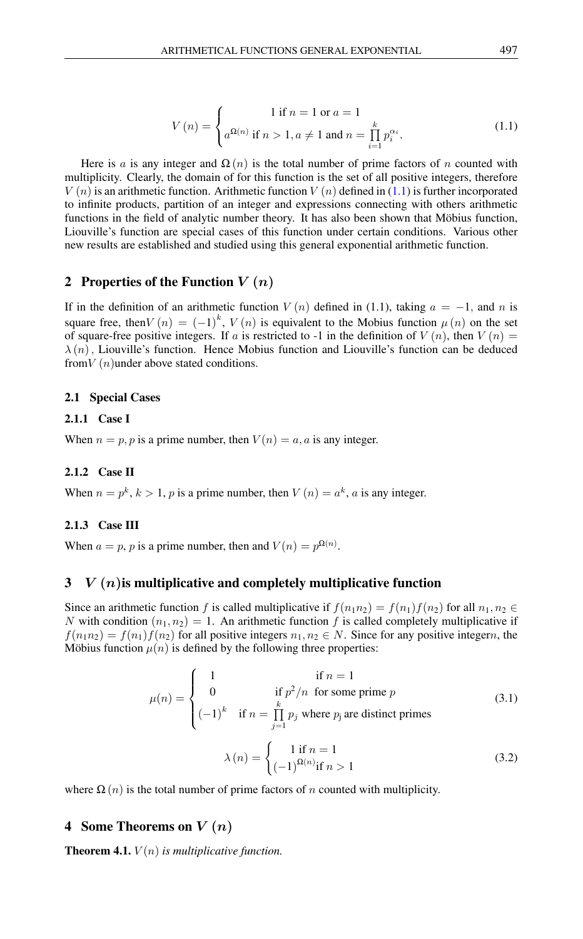$$
V(n) = \begin{cases} 1 \text{ if } n = 1 \text{ or } a = 1 \\ a^{\Omega(n)} \text{ if } n > 1, a \neq 1 \text{ and } n = \prod_{i=1}^{k} p_i^{\alpha_i} . \end{cases}
$$
(1.1)

<span id="page-1-0"></span>Here is a is any integer and  $\Omega(n)$  is the total number of prime factors of n counted with multiplicity. Clearly, the domain of for this function is the set of all positive integers, therefore  $V(n)$  is an arithmetic function. Arithmetic function  $V(n)$  defined in [\(1.1\)](#page-1-0) is further incorporated to infinite products, partition of an integer and expressions connecting with others arithmetic functions in the field of analytic number theory. It has also been shown that Möbius function, Liouville's function are special cases of this function under certain conditions. Various other new results are established and studied using this general exponential arithmetic function.

# 2 Properties of the Function  $V(n)$

If in the definition of an arithmetic function  $V(n)$  defined in (1.1), taking  $a = -1$ , and n is square free, then  $V(n) = (-1)^k$ ,  $V(n)$  is equivalent to the Mobius function  $\mu(n)$  on the set of square-free positive integers. If a is restricted to -1 in the definition of  $V(n)$ , then  $V(n)$  =  $\lambda(n)$ , Liouville's function. Hence Mobius function and Liouville's function can be deduced from  $V(n)$  under above stated conditions.

#### 2.1 Special Cases

#### 2.1.1 Case I

When  $n = p, p$  is a prime number, then  $V(n) = a, a$  is any integer.

#### 2.1.2 Case II

When  $n = p^k$ ,  $k > 1$ , p is a prime number, then  $V(n) = a^k$ , a is any integer.

#### 2.1.3 Case III

When  $a = p$ , p is a prime number, then and  $V(n) = p^{\Omega(n)}$ .

## $3 \quad V(n)$  is multiplicative and completely multiplicative function

Since an arithmetic function f is called multiplicative if  $f(n_1n_2) = f(n_1)f(n_2)$  for all  $n_1, n_2 \in$ N with condition  $(n_1, n_2) = 1$ . An arithmetic function f is called completely multiplicative if  $f(n_1n_2) = f(n_1)f(n_2)$  for all positive integers  $n_1, n_2 \in N$ . Since for any positive integern, the Möbius function  $\mu(n)$  is defined by the following three properties:

$$
\mu(n) = \begin{cases}\n1 & \text{if } n = 1 \\
0 & \text{if } p^2/n \text{ for some prime } p \\
(-1)^k & \text{if } n = \prod_{j=1}^k p_j \text{ where } p_j \text{ are distinct primes} \n\end{cases}
$$
\n
$$
\lambda(n) = \begin{cases}\n1 & \text{if } n = 1 \\
(-1)^{\Omega(n)} & \text{if } n > 1\n\end{cases}
$$
\n(3.2)

where 
$$
\Omega(n)
$$
 is the total number of prime factors of *n* counted with multiplicity.

## 4 Some Theorems on  $V(n)$

**Theorem 4.1.**  $V(n)$  *is multiplicative function.*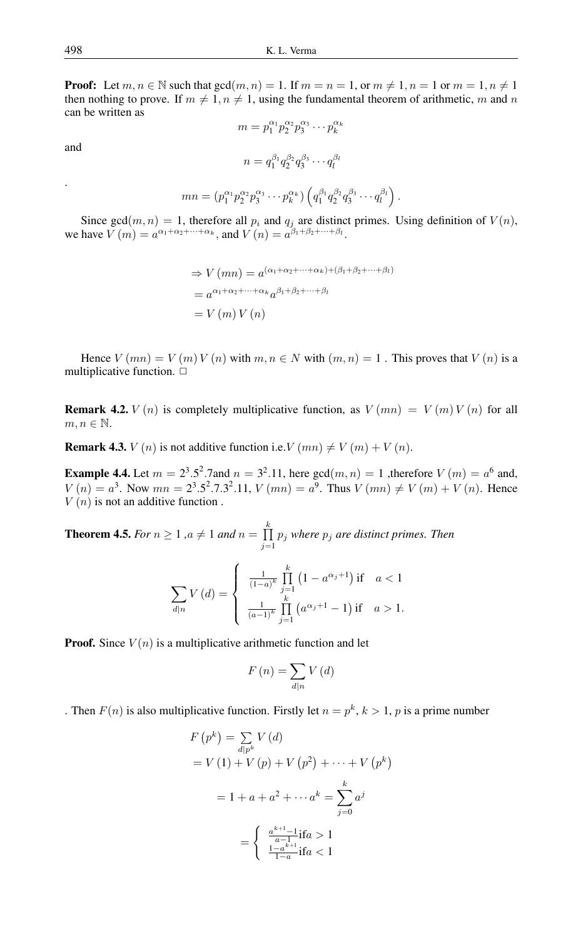**Proof:** Let  $m, n \in \mathbb{N}$  such that  $gcd(m, n) = 1$ . If  $m = n = 1$ , or  $m \neq 1$ ,  $n = 1$  or  $m = 1, n \neq 1$ then nothing to prove. If  $m \neq 1, n \neq 1$ , using the fundamental theorem of arithmetic, m and n can be written as

and

.

$$
m = p_1^{\alpha_1} p_2^{\alpha_2} p_3^{\alpha_3} \cdots p_k^{\alpha_k}
$$

$$
n = q_1^{\beta_1} q_2^{\beta_2} q_3^{\beta_3} \cdots q_l^{\beta_l}
$$

$$
mn = (p_1^{\alpha_1} p_2^{\alpha_2} p_3^{\alpha_3} \cdots p_k^{\alpha_k}) \left( q_1^{\beta_1} q_2^{\beta_2} q_3^{\beta_3} \cdots q_l^{\beta_l} \right).
$$

Since gcd $(m, n) = 1$ , therefore all  $p_i$  and  $q_j$  are distinct primes. Using definition of  $V(n)$ , we have  $V(m) = a^{\alpha_1 + \alpha_2 + \dots + \alpha_k}$ , and  $V(n) = a^{\beta_1 + \beta_2 + \dots + \beta_l}$ .

$$
\Rightarrow V(mn) = a^{(\alpha_1 + \alpha_2 + \dots + \alpha_k) + (\beta_1 + \beta_2 + \dots + \beta_l)}
$$
  
=  $a^{\alpha_1 + \alpha_2 + \dots + \alpha_k} a^{\beta_1 + \beta_2 + \dots + \beta_l}$   
=  $V(m) V(n)$ 

Hence  $V(mn) = V(m)V(n)$  with  $m, n \in N$  with  $(m, n) = 1$ . This proves that  $V(n)$  is a multiplicative function.  $\Box$ 

**Remark 4.2.**  $V(n)$  is completely multiplicative function, as  $V(mn) = V(m)V(n)$  for all  $m, n \in \mathbb{N}$ .

**Remark 4.3.**  $V(n)$  is not additive function i.e.  $V(mn) \neq V(m) + V(n)$ .

**Example 4.4.** Let  $m = 2^3.5^2.7$  and  $n = 3^2.11$ , here  $gcd(m, n) = 1$ , therefore  $V(m) = a^6$  and,  $V(n) = a^3$ . Now  $mn = 2^3 \cdot 5^2 \cdot 7 \cdot 3^2 \cdot 11$ ,  $V(mn) = a^9$ . Thus  $V(mn) \neq V(m) + V(n)$ . Hence  $V(n)$  is not an additive function.

**Theorem 4.5.** *For*  $n \geq 1$  *,a*  $\neq 1$  *and*  $n = \prod_{k=1}^{k}$  $\prod_{j=1} p_j$  where  $p_j$  are distinct primes. Then

$$
\sum_{d|n} V(d) = \begin{cases} \frac{1}{(1-a)^k} \prod_{j=1}^k (1 - a^{\alpha_j+1}) & \text{if } a < 1\\ \frac{1}{(a-1)^k} \prod_{j=1}^k (a^{\alpha_j+1} - 1) & \text{if } a > 1. \end{cases}
$$

**Proof.** Since  $V(n)$  is a multiplicative arithmetic function and let

$$
F\left(n\right) = \sum_{d|n} V\left(d\right)
$$

. Then  $F(n)$  is also multiplicative function. Firstly let  $n = p^k$ ,  $k > 1$ , p is a prime number

$$
F(p^{k}) = \sum_{d|p^{k}} V(d)
$$
  
=  $V(1) + V(p) + V(p^{2}) + \dots + V(p^{k})$   
=  $1 + a + a^{2} + \dots + a^{k} = \sum_{j=0}^{k} a^{j}$   
=  $\begin{cases} \frac{a^{k+1}-1}{a-1} \text{if } a > 1\\ \frac{1-a^{k+1}}{1-a} \text{if } a < 1 \end{cases}$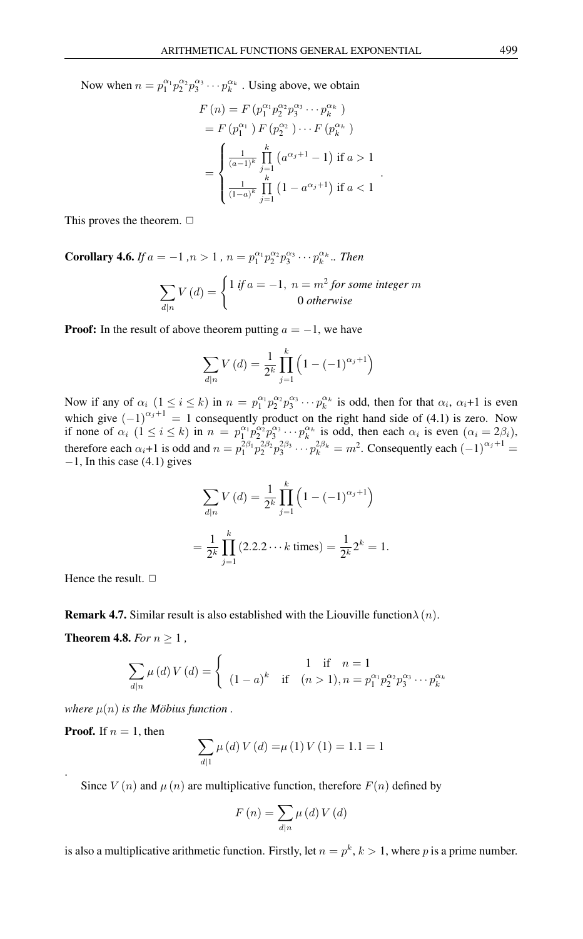Now when  $n = p_1^{\alpha_1} p_2^{\alpha_2} p_3^{\alpha_3} \cdots p_k^{\alpha_k}$ . Using above, we obtain

$$
F(n) = F(p_1^{\alpha_1} p_2^{\alpha_2} p_3^{\alpha_3} \cdots p_k^{\alpha_k})
$$
  
=  $F(p_1^{\alpha_1}) F(p_2^{\alpha_2}) \cdots F(p_k^{\alpha_k})$   
= 
$$
\begin{cases} \frac{1}{(a-1)^k} \prod_{j=1}^k (a^{\alpha_j+1} - 1) & \text{if } a > 1 \\ \frac{1}{(1-a)^k} \prod_{j=1}^k (1 - a^{\alpha_j+1}) & \text{if } a < 1 \end{cases}
$$

.

This proves the theorem.  $\Box$ 

**Corollary 4.6.** *If*  $a = -1$ ,  $n > 1$ ,  $n = p_1^{\alpha_1} p_2^{\alpha_2} p_3^{\alpha_3} \cdots p_k^{\alpha_k}$ .. *Then* 

$$
\sum_{d|n} V(d) = \begin{cases} 1 \text{ if } a = -1, \ n = m^2 \text{ for some integer } m \\ 0 \text{ otherwise} \end{cases}
$$

**Proof:** In the result of above theorem putting  $a = -1$ , we have

$$
\sum_{d|n} V(d) = \frac{1}{2^k} \prod_{j=1}^k \left( 1 - (-1)^{\alpha_j + 1} \right)
$$

Now if any of  $\alpha_i$   $(1 \le i \le k)$  in  $n = p_1^{\alpha_1} p_2^{\alpha_2} p_3^{\alpha_3} \cdots p_k^{\alpha_k}$  is odd, then for that  $\alpha_i$ ,  $\alpha_i+1$  is even which give  $(-1)^{\alpha_j+1} = 1$  consequently product on the right hand side of (4.1) is zero. Now if none of  $\alpha_i$   $(1 \le i \le k)$  in  $n = p_1^{\alpha_1} p_2^{\alpha_2} p_3^{\alpha_3} \cdots p_k^{\alpha_k}$  is odd, then each  $\alpha_i$  is even  $(\alpha_i = 2\beta_i)$ , therefore each  $\alpha_i+1$  is odd and  $n=p_1^{2\beta_1}p_2^{2\beta_2}p_3^{2\beta_3}\cdots p_k^{2\beta_k}=m^2$ . Consequently each  $(-1)^{\alpha_j+1}=$  $-1$ , In this case (4.1) gives

$$
\sum_{d|n} V(d) = \frac{1}{2^k} \prod_{j=1}^k \left( 1 - (-1)^{\alpha_j + 1} \right)
$$

$$
= \frac{1}{2^k} \prod_{j=1}^k (2.2.2 \cdots k \text{ times}) = \frac{1}{2^k} 2^k = 1.
$$

Hence the result.  $\Box$ 

**Remark 4.7.** Similar result is also established with the Liouville function  $\lambda(n)$ .

**Theorem 4.8.** *For*  $n \geq 1$ ,

$$
\sum_{d|n} \mu(d) V(d) = \begin{cases} 1 & \text{if } n = 1\\ (1-a)^k & \text{if } (n > 1), n = p_1^{\alpha_1} p_2^{\alpha_2} p_3^{\alpha_3} \cdots p_k^{\alpha_k} \end{cases}
$$

*where*  $\mu(n)$  *is the Möbius function*.

**Proof.** If  $n = 1$ , then

.

$$
\sum_{d|1} \mu(d) V(d) = \mu(1) V(1) = 1.1 = 1
$$

Since  $V(n)$  and  $\mu(n)$  are multiplicative function, therefore  $F(n)$  defined by

$$
F(n) = \sum_{d|n} \mu(d) V(d)
$$

is also a multiplicative arithmetic function. Firstly, let  $n = p^k$ ,  $k > 1$ , where p is a prime number.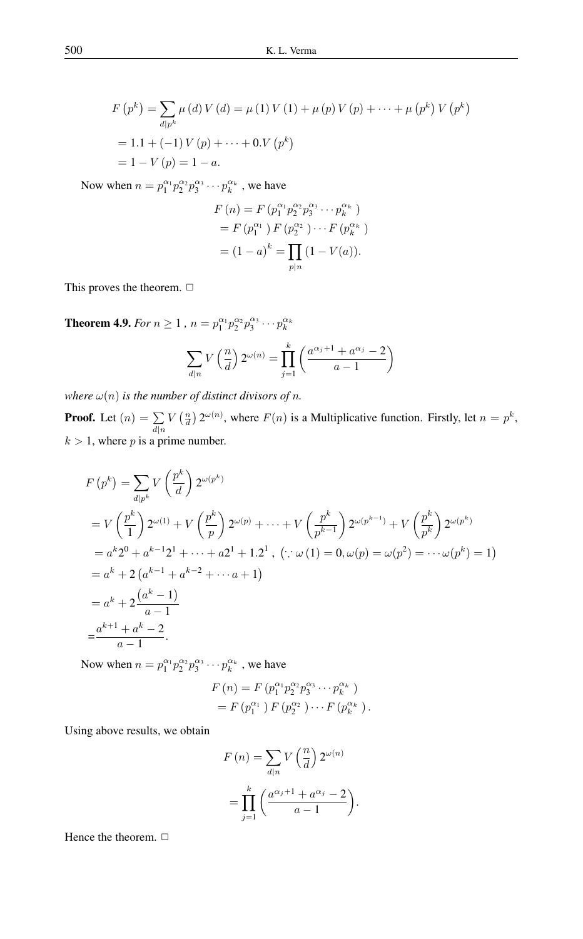$$
F(p^{k}) = \sum_{d|p^{k}} \mu(d) V(d) = \mu(1) V(1) + \mu(p) V(p) + \dots + \mu(p^{k}) V(p^{k})
$$
  
= 1.1 + (-1) V(p) + \dots + 0. V(p^{k})  
= 1 - V(p) = 1 - a.

Now when  $n = p_1^{\alpha_1} p_2^{\alpha_2} p_3^{\alpha_3} \cdots p_k^{\alpha_k}$ , we have

$$
F(n) = F(p_1^{\alpha_1} p_2^{\alpha_2} p_3^{\alpha_3} \cdots p_k^{\alpha_k})
$$
  
=  $F(p_1^{\alpha_1}) F(p_2^{\alpha_2}) \cdots F(p_k^{\alpha_k})$   
=  $(1-a)^k = \prod_{p|n} (1 - V(a)).$ 

This proves the theorem.  $\Box$ 

**Theorem 4.9.** *For*  $n \ge 1$  ,  $n = p_1^{\alpha_1} p_2^{\alpha_2} p_3^{\alpha_3} \cdots p_k^{\alpha_k}$ 

$$
\sum_{d|n} V\left(\frac{n}{d}\right) 2^{\omega(n)} = \prod_{j=1}^k \left(\frac{a^{\alpha_j+1} + a^{\alpha_j}-2}{a-1}\right)
$$

*where*  $\omega(n)$  *is the number of distinct divisors of n.* 

**Proof.** Let  $(n) = \sum$  $d|n$  $V\left(\frac{n}{d}\right)2^{\omega(n)}$ , where  $F(n)$  is a Multiplicative function. Firstly, let  $n = p^k$ ,  $k > 1$ , where p is a prime number.

$$
F(p^{k}) = \sum_{d|p^{k}} V\left(\frac{p^{k}}{d}\right) 2^{\omega(p^{k})}
$$
  
=  $V\left(\frac{p^{k}}{1}\right) 2^{\omega(1)} + V\left(\frac{p^{k}}{p}\right) 2^{\omega(p)} + \dots + V\left(\frac{p^{k}}{p^{k-1}}\right) 2^{\omega(p^{k-1})} + V\left(\frac{p^{k}}{p^{k}}\right) 2^{\omega(p^{k})}$   
=  $a^{k}2^{0} + a^{k-1}2^{1} + \dots + a2^{1} + 1 \cdot 2^{1}$ ,  $(\because \omega(1) = 0, \omega(p) = \omega(p^{2}) = \dots \omega(p^{k}) = 1)$   
=  $a^{k} + 2(a^{k-1} + a^{k-2} + \dots + a + 1)$   
=  $a^{k} + 2\frac{(a^{k} - 1)}{a - 1}$   
=  $\frac{a^{k+1} + a^{k} - 2}{a - 1}$ .

Now when  $n = p_1^{\alpha_1} p_2^{\alpha_2} p_3^{\alpha_3} \cdots p_k^{\alpha_k}$ , we have

$$
F(n) = F(p_1^{\alpha_1} p_2^{\alpha_2} p_3^{\alpha_3} \cdots p_k^{\alpha_k})
$$
  
=  $F(p_1^{\alpha_1}) F(p_2^{\alpha_2}) \cdots F(p_k^{\alpha_k}).$ 

Using above results, we obtain

$$
F(n) = \sum_{d|n} V\left(\frac{n}{d}\right) 2^{\omega(n)}
$$

$$
= \prod_{j=1}^{k} \left(\frac{a^{\alpha_j+1} + a^{\alpha_j} - 2}{a-1}\right).
$$

Hence the theorem.  $\square$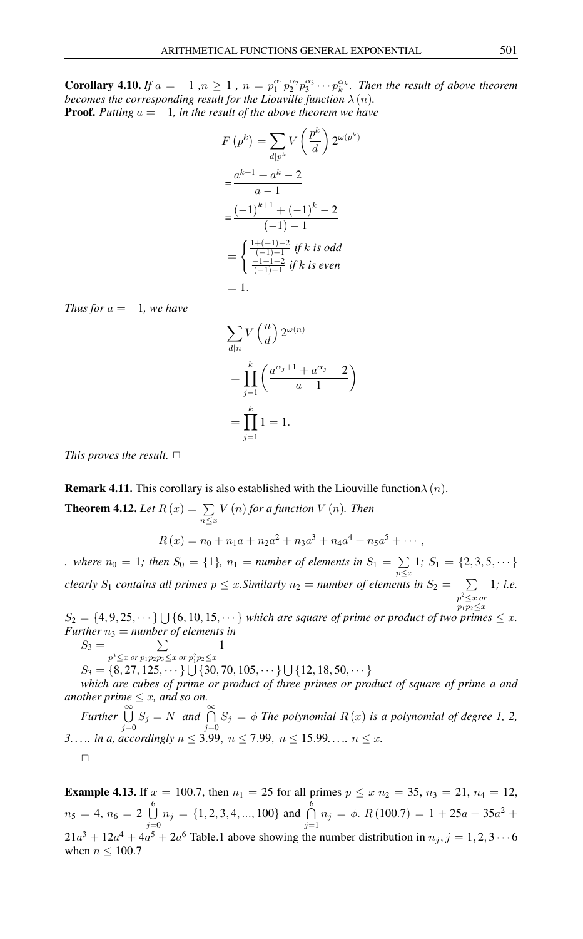**Corollary 4.10.** If  $a = -1$ ,  $n \ge 1$ ,  $n = p_1^{\alpha_1} p_2^{\alpha_2} p_3^{\alpha_3} \cdots p_k^{\alpha_k}$ . Then the result of above theorem *becomes the corresponding result for the Liouville function*  $\lambda(n)$ *.* **Proof.** Putting  $a = -1$ , in the result of the above theorem we have

$$
F(p^k) = \sum_{d|p^k} V\left(\frac{p^k}{d}\right) 2^{\omega(p^k)}
$$
  
= 
$$
\frac{a^{k+1} + a^k - 2}{a - 1}
$$
  
= 
$$
\frac{(-1)^{k+1} + (-1)^k - 2}{(-1) - 1}
$$
  
= 
$$
\begin{cases} \frac{1 + (-1) - 2}{(-1) - 1} & \text{if } k \text{ is odd} \\ \frac{-1 + 1 - 2}{(-1) - 1} & \text{if } k \text{ is even} \end{cases}
$$
  
= 1.

*Thus for*  $a = -1$ *, we have* 

$$
\sum_{d|n} V\left(\frac{n}{d}\right) 2^{\omega(n)}
$$
  
= 
$$
\prod_{j=1}^{k} \left(\frac{a^{\alpha_j+1} + a^{\alpha_j} - 2}{a-1}\right)
$$
  
= 
$$
\prod_{j=1}^{k} 1 = 1.
$$

*This proves the result.*  $\Box$ 

**Remark 4.11.** This corollary is also established with the Liouville function $\lambda(n)$ .

**Theorem 4.12.** Let  $R(x) = \sum$  $n \leq x$ V (n) *for a function* V (n)*. Then*  $R(x) = n_0 + n_1 a + n_2 a^2 + n_3 a^3 + n_4 a^4 + n_5 a^5 + \cdots,$ 

*.* where  $n_0 = 1$ ; then  $S_0 = \{1\}$ ,  $n_1 =$  number of elements in  $S_1 = \sum$  $\sum_{p \leq x} 1; S_1 = \{2, 3, 5, \dots\}$ *clearly*  $S_1$  *contains all primes*  $p \leq x$ *. Similarly*  $n_2 =$  *number of elements in*  $S_2 = \sum$ p <sup>2</sup>≤x *or*  $p_1p_2 \leq x$ 1*; i.e.*

 $S_2 = \{4, 9, 25, \dots\} \bigcup \{6, 10, 15, \dots\}$  which are square of prime or product of two primes  $\leq x$ . *Further*  $n_3$  = *number* of *elements* in

 $S_3 = \sum$  $p^3 \leq x$  or  $p_1 p_2 p_3 \leq x$  or  $p_1^2 p_2 \leq x$ 

 $S_3 = \{8, 27, 125, \dots\} \cup \{30, 70, 105, \dots\} \cup \{12, 18, 50, \dots\}$ 

1

*which are cubes of prime or product of three primes or product of square of prime a and another prime*  $\leq x$ *, and so on.* 

∝<br>Further<sup>©</sup>  $\bigcup_{j=0}^{\infty} S_j = N$  *and*  $\bigcap_{j=0}^{\infty} S_j = \phi$  *The polynomial*  $R(x)$  *is a polynomial of degree 1, 2, 3.....* in a, accordingly  $n \le 3.99$ ,  $n \le 7.99$ ,  $n \le 15.99$ .....  $n \le x$ .  $\Box$ 

**Example 4.13.** If  $x = 100.7$ , then  $n_1 = 25$  for all primes  $p \le x n_2 = 35$ ,  $n_3 = 21$ ,  $n_4 = 12$ ,  $n_5 = 4, n_6 = 2 \bigcup_{ }^6$  $\bigcup_{j=0}^{6} n_j = \{1, 2, 3, 4, ..., 100\}$  and  $\bigcap_{j=1}^{6}$  $\bigcap_{j=1} n_j = \phi$ .  $R(100.7) = 1 + 25a + 35a^2 +$  $21a^3 + 12a^4 + 4a^5 + 2a^6$  Table.1 above showing the number distribution in  $n_j$ ,  $j = 1, 2, 3 \cdots 6$ when  $n \leq 100.7$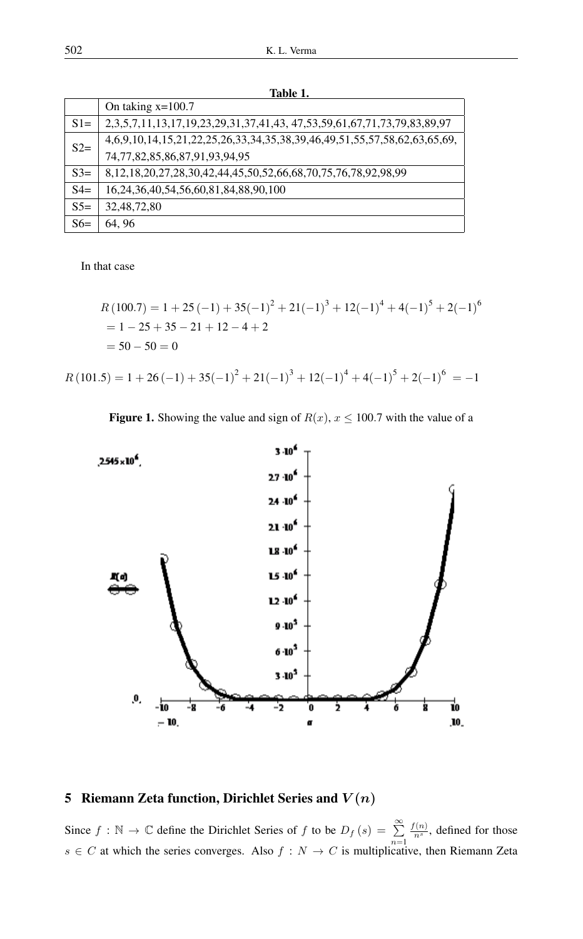| таріс т. |                                                                                                |
|----------|------------------------------------------------------------------------------------------------|
|          | On taking $x=100.7$                                                                            |
| $S1=$    | 2, 3, 5, 7, 11, 13, 17, 19, 23, 29, 31, 37, 41, 43, 47, 53, 59, 61, 67, 71, 73, 79, 83, 89, 97 |
| $S2=$    | 4,6,9,10,14,15,21,22,25,26,33,34,35,38,39,46,49,51,55,57,58,62,63,65,69,                       |
|          | 74,77,82,85,86,87,91,93,94,95                                                                  |
| $S3=$    | 8, 12, 18, 20, 27, 28, 30, 42, 44, 45, 50, 52, 66, 68, 70, 75, 76, 78, 92, 98, 99              |
| $S4=$    | 16, 24, 36, 40, 54, 56, 60, 81, 84, 88, 90, 100                                                |
| $S5=$    | 32, 48, 72, 80                                                                                 |
| $S6=$    | 64, 96                                                                                         |

Table 1.

In that case

$$
R(100.7) = 1 + 25(-1) + 35(-1)^{2} + 21(-1)^{3} + 12(-1)^{4} + 4(-1)^{5} + 2(-1)^{6}
$$
  
= 1 - 25 + 35 - 21 + 12 - 4 + 2  
= 50 - 50 = 0

 $R(101.5) = 1 + 26(-1) + 35(-1)^{2} + 21(-1)^{3} + 12(-1)^{4} + 4(-1)^{5} + 2(-1)^{6} = -1$ 

Figure 1. Showing the value and sign of  $R(x)$ ,  $x \le 100.7$  with the value of a



# 5 Riemann Zeta function, Dirichlet Series and  $V(n)$

Since  $f : \mathbb{N} \to \mathbb{C}$  define the Dirichlet Series of f to be  $D_f(s) = \sum_{r=1}^{\infty}$  $n=1$  $\frac{f(n)}{n^s}$ , defined for those  $s \in C$  at which the series converges. Also  $f : N \to C$  is multiplicative, then Riemann Zeta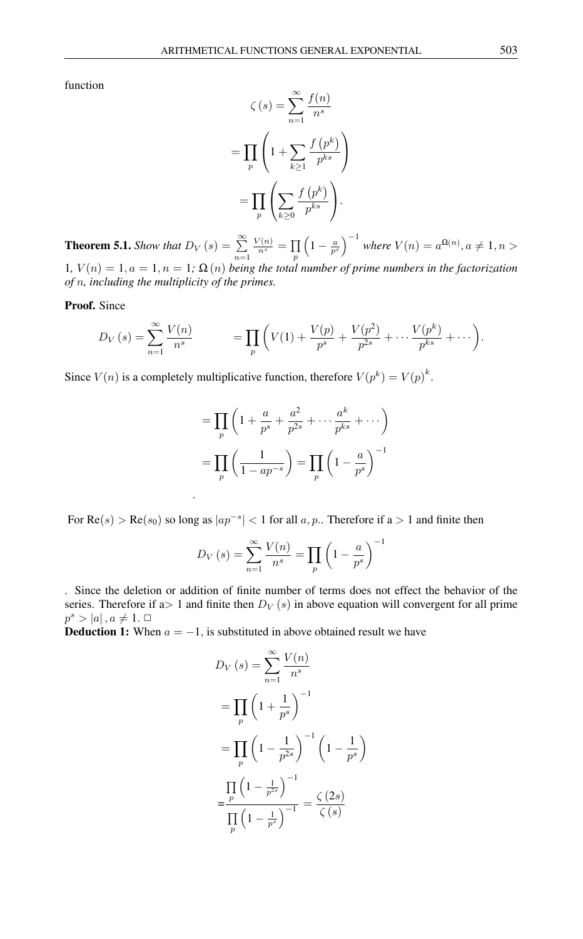function

$$
\zeta(s) = \sum_{n=1}^{\infty} \frac{f(n)}{n^s}
$$

$$
= \prod_p \left( 1 + \sum_{k \ge 1} \frac{f(p^k)}{p^{ks}} \right)
$$

$$
= \prod_p \left( \sum_{k \ge 0} \frac{f(p^k)}{p^{ks}} \right).
$$

**Theorem 5.1.** *Show that*  $D_V(s) = \sum_{i=1}^{\infty}$  $n=1$  $\frac{V(n)}{n^s} = \prod$ p  $\left(1-\frac{a}{p^{s}}\right)^{-1}$  where  $V(n)=a^{\Omega(n)}, a\neq 1, n>0$ 1*,*  $V(n) = 1, a = 1, n = 1$ ;  $\Omega(n)$  *being the total number of prime numbers in the factorization of* n*, including the multiplicity of the primes.*

#### Proof. Since

$$
D_V(s) = \sum_{n=1}^{\infty} \frac{V(n)}{n^s} \qquad \qquad = \prod_p \left( V(1) + \frac{V(p)}{p^s} + \frac{V(p^2)}{p^{2s}} + \dots + \frac{V(p^k)}{p^{ks}} + \dots \right).
$$

Since  $V(n)$  is a completely multiplicative function, therefore  $V(p^k) = V(p)^k$ .

.

$$
= \prod_{p} \left( 1 + \frac{a}{p^s} + \frac{a^2}{p^{2s}} + \dots + \frac{a^k}{p^{ks}} + \dots \right)
$$

$$
= \prod_{p} \left( \frac{1}{1 - ap^{-s}} \right) = \prod_{p} \left( 1 - \frac{a}{p^s} \right)^{-1}
$$

For  $\text{Re}(s) > \text{Re}(s_0)$  so long as  $|ap^{-s}| < 1$  for all  $a, p$ .. Therefore if  $a > 1$  and finite then

$$
D_V(s) = \sum_{n=1}^{\infty} \frac{V(n)}{n^s} = \prod_p \left(1 - \frac{a}{p^s}\right)^{-1}
$$

. Since the deletion or addition of finite number of terms does not effect the behavior of the series. Therefore if a is 1 and finite then  $D_V(s)$  in above equation will convergent for all prime  $p^s > |a|, a \neq 1. \ \Box$ 

**Deduction 1:** When  $a = -1$ , is substituted in above obtained result we have

$$
D_V(s) = \sum_{n=1}^{\infty} \frac{V(n)}{n^s}
$$
  
= 
$$
\prod_p \left(1 + \frac{1}{p^s}\right)^{-1}
$$
  
= 
$$
\prod_p \left(1 - \frac{1}{p^{2s}}\right)^{-1} \left(1 - \frac{1}{p^s}\right)
$$
  
= 
$$
\frac{\prod_p \left(1 - \frac{1}{p^{2s}}\right)^{-1}}{\prod_p \left(1 - \frac{1}{p^s}\right)^{-1}} = \frac{\zeta(2s)}{\zeta(s)}
$$